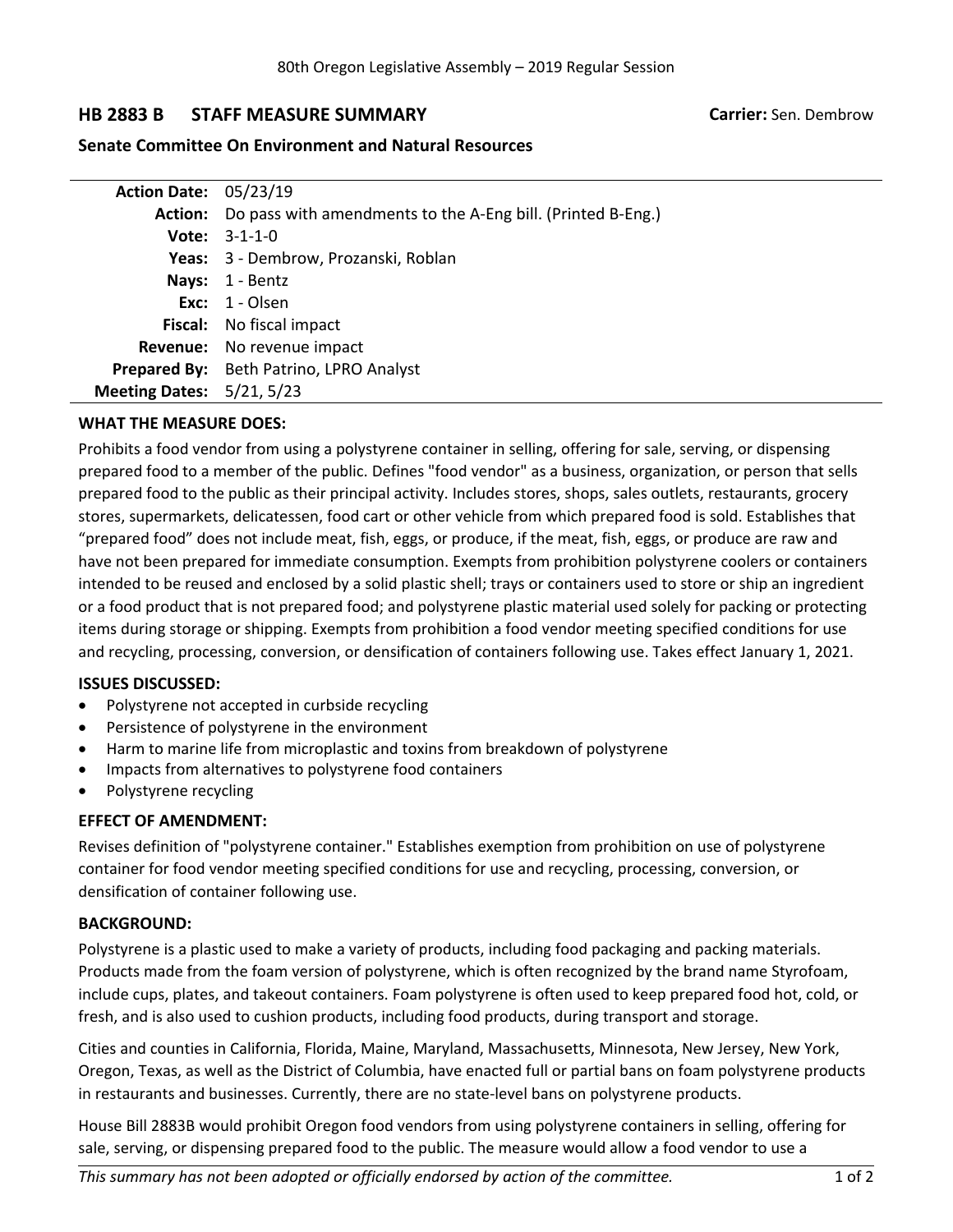# **HB 2883 B STAFF MEASURE SUMMARY Carrier:** Sen. Dembrow

## **Senate Committee On Environment and Natural Resources**

| <b>Action Date: 05/23/19</b>     |                                                                            |
|----------------------------------|----------------------------------------------------------------------------|
|                                  | <b>Action:</b> Do pass with amendments to the A-Eng bill. (Printed B-Eng.) |
|                                  | <b>Vote:</b> $3-1-1-0$                                                     |
|                                  | Yeas: 3 - Dembrow, Prozanski, Roblan                                       |
|                                  | Nays: 1 - Bentz                                                            |
|                                  | Exc: $1 -$ Olsen                                                           |
|                                  | <b>Fiscal:</b> No fiscal impact                                            |
|                                  | <b>Revenue:</b> No revenue impact                                          |
|                                  | Prepared By: Beth Patrino, LPRO Analyst                                    |
| <b>Meeting Dates: 5/21, 5/23</b> |                                                                            |

### **WHAT THE MEASURE DOES:**

Prohibits <sup>a</sup> food vendor from using <sup>a</sup> polystyrene container in selling, offering for sale, serving, or dispensing prepared food to <sup>a</sup> member of the public. Defines "food vendor" as <sup>a</sup> business, organization, or person that sells prepared food to the public as their principal activity. Includes stores, shops, sales outlets, restaurants, grocery stores, supermarkets, delicatessen, food cart or other vehicle from which prepared food is sold. Establishes that "prepared food" does not include meat, fish, eggs, or produce, if the meat, fish, eggs, or produce are raw and have not been prepared for immediate consumption. Exempts from prohibition polystyrene coolers or containers intended to be reused and enclosed by <sup>a</sup> solid plastic shell; trays or containers used to store or ship an ingredient or <sup>a</sup> food product that is not prepared food; and polystyrene plastic material used solely for packing or protecting items during storage or shipping. Exempts from prohibition <sup>a</sup> food vendor meeting specified conditions for use and recycling, processing, conversion, or densification of containers following use. Takes effect January 1, 2021.

### **ISSUES DISCUSSED:**

- $\bullet$ Polystyrene not accepted in curbside recycling
- . Persistence of polystyrene in the environment
- . Harm to marine life from microplastic and toxins from breakdown of polystyrene
- . Impacts from alternatives to polystyrene food containers
- . Polystyrene recycling

### **EFFECT OF AMENDMENT:**

Revises definition of "polystyrene container." Establishes exemption from prohibition on use of polystyrene container for food vendor meeting specified conditions for use and recycling, processing, conversion, or densification of container following use.

### **BACKGROUND:**

Polystyrene is <sup>a</sup> plastic used to make <sup>a</sup> variety of products, including food packaging and packing materials. Products made from the foam version of polystyrene, which is often recognized by the brand name Styrofoam, include cups, plates, and takeout containers. Foam polystyrene is often used to keep prepared food hot, cold, or fresh, and is also used to cushion products, including food products, during transport and storage.

Cities and counties in California, Florida, Maine, Maryland, Massachusetts, Minnesota, New Jersey, New York, Oregon, Texas, as well as the District of Columbia, have enacted full or partial bans on foam polystyrene products in restaurants and businesses. Currently, there are no state-level bans on polystyrene products.

House Bill 2883B would prohibit Oregon food vendors from using polystyrene containers in selling, offering for sale, serving, or dispensing prepared food to the public. The measure would allow <sup>a</sup> food vendor to use <sup>a</sup>